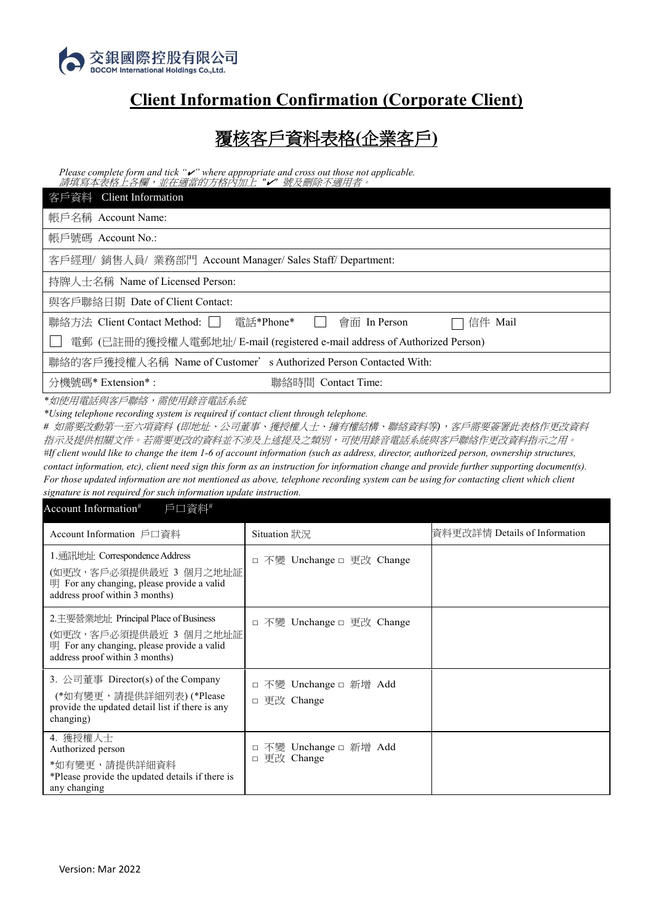

## **Client Information Confirmation (Corporate Client)**

## 覆核客戶資料表格**(**企業客戶**)**

*Please complete form and tick "*✔*" where appropriate and cross out those not applicable.* 請填寫本表格上各欄,並在適當的方格內加上 *"*✔*"* 號及刪除不適用者。

| 客戶資料 Client Information                                                   |  |  |  |  |
|---------------------------------------------------------------------------|--|--|--|--|
| 帳戶名稱 Account Name:                                                        |  |  |  |  |
| 帳戶號碼 Account No.:                                                         |  |  |  |  |
| 客戶經理/ 銷售人員/ 業務部門 Account Manager/ Sales Staff/ Department:                |  |  |  |  |
| 持牌人士名稱 Name of Licensed Person:                                           |  |  |  |  |
| 與客戶聯絡日期 Date of Client Contact:                                           |  |  |  |  |
| 聯絡方法 Client Contact Method:   電話*Phone*   會面 In Person<br>信件 Mail         |  |  |  |  |
| 電郵 (已註冊的獲授權人電郵地址/ E-mail (registered e-mail address of Authorized Person) |  |  |  |  |
| 聯絡的客戶獲授權人名稱 Name of Customer' s Authorized Person Contacted With:         |  |  |  |  |
| 分機號碼* Extension*:<br>聯絡時間 Contact Time:                                   |  |  |  |  |

*\**如使用電話與客戶聯絡,需使用錄音電話系統

*\*Using telephone recording system is required if contact client through telephone.*

*#* 如需要改動第一至六項資料 *(*即地址、公司董事、獲授權人士、擁有權結構、聯絡資料等*)*,客戶需要簽署此表格作更改資料 指示及提供相關文件。若需要更改的資料並不涉及上述提及之類別,可使用錄音電話系統與客戶聯絡作更改資料指示之用。 *#If client would like to change the item 1-6 of account information (such as address, director, authorized person, ownership structures, contact information, etc), client need sign this form as an instruction for information change and provide further supporting document(s). For those updated information are not mentioned as above, telephone recording system can be using for contacting client which client signature is not required for such information update instruction.*

| Account Information <sup>#</sup><br>戶口資料#                                                                                                       |                                                       |                               |
|-------------------------------------------------------------------------------------------------------------------------------------------------|-------------------------------------------------------|-------------------------------|
| Account Information 戶口資料                                                                                                                        | Situation 狀況                                          | 資料更改詳情 Details of Information |
| 1. 通訊地址: Correspondence Address<br>(如更改,客戶必須提供最近 3 個月之地址証<br>明 For any changing, please provide a valid<br>address proof within 3 months)       | □ 不變 Unchange □ 更改 Change                             |                               |
| 2. 主要營業地址 Principal Place of Business<br>(如更改,客戶必須提供最近 3 個月之地址証<br>明 For any changing, please provide a valid<br>address proof within 3 months) | □ 不變 Unchange □ 更改 Change                             |                               |
| 3. 公司董事 Director(s) of the Company<br>(*如有變更,請提供詳細列表)(*Please<br>provide the updated detail list if there is any<br>changing)                   | 不變 Unchange □ 新增 Add<br>$\Box$<br>更改 Change<br>$\Box$ |                               |
| 4. 獲授權人士<br>Authorized person<br>*如有變更,請提供詳細資料<br>*Please provide the updated details if there is<br>any changing                               | 不變 Unchange □ 新增 Add<br>□<br>更改 Change<br>$\Box$      |                               |